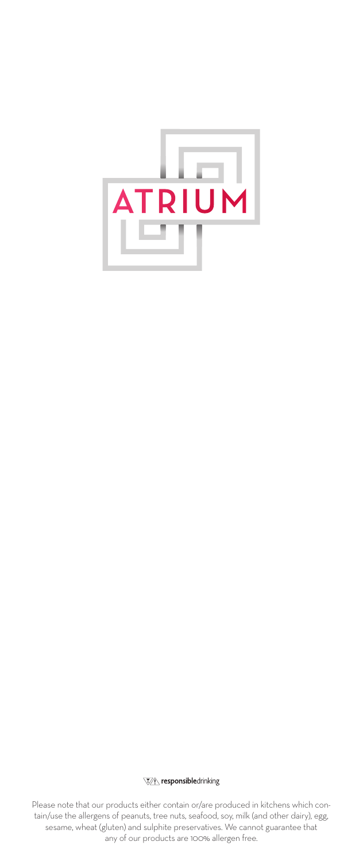

**Vi** responsibledrinking

Please note that our products either contain or/are produced in kitchens which contain/use the allergens of peanuts, tree nuts, seafood, soy, milk (and other dairy), egg, sesame, wheat (gluten) and sulphite preservatives. We cannot guarantee that any of our products are 100% allergen free.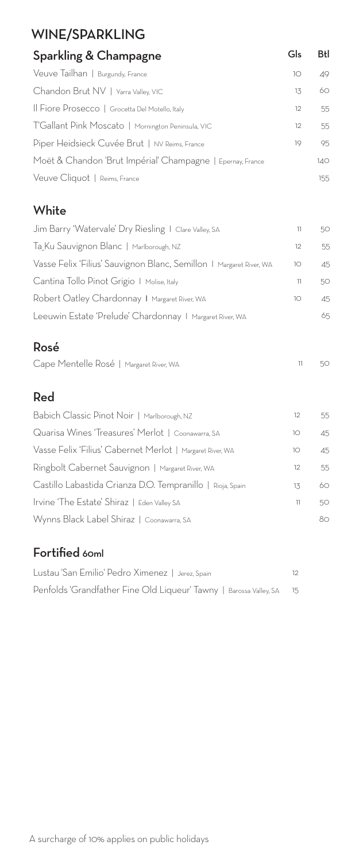# WINE/SPARKLING

| Sparkling & Champagne                                      | Gls       | Btl |
|------------------------------------------------------------|-----------|-----|
| Veuve Tailhan   Burgundy, France                           | $1^\circ$ | 49  |
| Chandon Brut NV   Yarra Valley, VIC                        | 13        | 60  |
| Il Fiore Prosecco   Grocetta Del Motello, Italy            | 12        | 55  |
| T'Gallant Pink Moscato   Mornington Peninsula, VIC         | 12        | 55  |
| Piper Heidsieck Cuvée Brut   NV Reims, France              | 19        | 95  |
| Moët & Chandon 'Brut Impérial' Champagne   Epernay, France |           | 140 |
| Veuve Cliquot   Reims, France                              |           | 155 |
|                                                            |           |     |

#### **White**

| Jim Barry 'Watervale' Dry Riesling I Clare Valley, SA               |           | 50 |
|---------------------------------------------------------------------|-----------|----|
| Ta_Ku Sauvignon Blanc   Marlborough, NZ                             | 12        | 55 |
| Vasse Felix 'Filius' Sauvignon Blanc, Semillon   Margaret River, WA | 10        | 45 |
| Cantina Tollo Pinot Grigio   Molise, Italy                          | 11        | 50 |
| Robert Oatley Chardonnay   Margaret River, WA                       | $1^\circ$ | 45 |
| Leeuwin Estate 'Prelude' Chardonnay   Margaret River, WA            |           | 65 |

#### Rosé

| Cape Mentelle Rosé   Margaret River, WA |  | $11 \qquad 50$ |
|-----------------------------------------|--|----------------|
|-----------------------------------------|--|----------------|

#### Red

| Babich Classic Pinot Noir   Marlborough, NZ                | 12 | 55 |
|------------------------------------------------------------|----|----|
| Quarisa Wines 'Treasures' Merlot   Coonawarra, SA          | 10 | 45 |
| Vasse Felix 'Filius' Cabernet Merlot   Margaret River, WA  | 10 | 45 |
| Ringbolt Cabernet Sauvignon   Margaret River, WA           | 12 | 55 |
| Castillo Labastida Crianza D.O. Tempranillo   Rioja, Spain | 13 | 60 |
| Irvine 'The Estate' Shiraz   Eden Valley SA                | 11 | 50 |
| Wynns Black Label Shiraz   Coonawarra, SA                  |    | 80 |

### Fortified 60ml

| Lustau 'San Emilio' Pedro Ximenez I Jerez Spain                    | 12. |
|--------------------------------------------------------------------|-----|
| Penfolds 'Grandfather Fine Old Liqueur' Tawny   Barossa Valley, SA | 15  |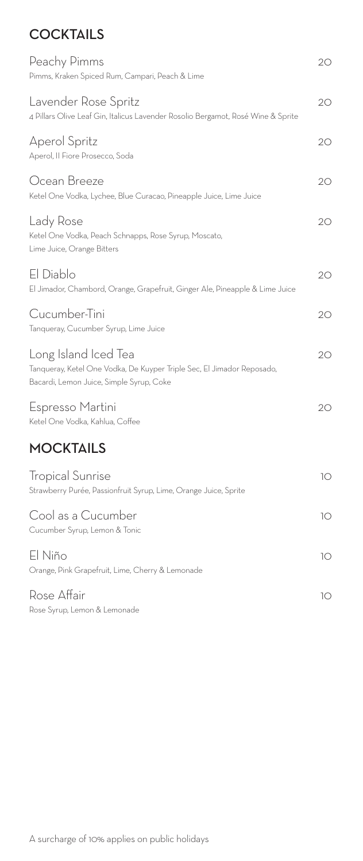## **COCKTAILS**

| Peachy Pimms<br>Pimms, Kraken Spiced Rum, Campari, Peach & Lime                                                                            | 20 |
|--------------------------------------------------------------------------------------------------------------------------------------------|----|
| Lavender Rose Spritz<br>4 Pillars Olive Leaf Gin, Italicus Lavender Rosolio Bergamot, Rosé Wine & Sprite                                   | 20 |
| <b>Aperol Spritz</b><br>Aperol, II Fiore Prosecco, Soda                                                                                    | 20 |
| Ocean Breeze<br>Ketel One Vodka, Lychee, Blue Curacao, Pineapple Juice, Lime Juice                                                         | 20 |
| Lady Rose<br>Ketel One Vodka, Peach Schnapps, Rose Syrup, Moscato,<br>Lime Juice, Orange Bitters                                           | 20 |
| El Diablo<br>El Jimador, Chambord, Orange, Grapefruit, Ginger Ale, Pineapple & Lime Juice                                                  | 20 |
| Cucumber-Tini<br>Tanqueray, Cucumber Syrup, Lime Juice                                                                                     | 20 |
| Long Island Iced Tea<br>Tanqueray, Ketel One Vodka, De Kuyper Triple Sec, El Jimador Reposado,<br>Bacardi, Lemon Juice, Simple Syrup, Coke | 20 |
| Espresso Martini<br>Ketel One Vodka, Kahlua, Coffee                                                                                        | 20 |
| <b>MOCKTAILS</b>                                                                                                                           |    |
| <b>Tropical Sunrise</b><br>Strawberry Purée, Passionfruit Syrup, Lime, Orange Juice, Sprite                                                | 10 |
| Cool as a Cucumber<br>Cucumber Syrup, Lemon & Tonic                                                                                        | 10 |
| El Niño<br>Orange, Pink Grapefruit, Lime, Cherry & Lemonade                                                                                | 10 |
| Rose Affair<br>Rose Syrup, Lemon & Lemonade                                                                                                | 10 |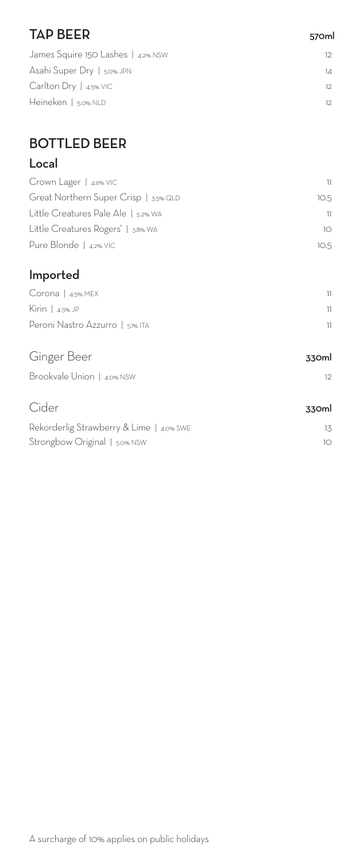| <b>TAP BEER</b> | 570ml |
|-----------------|-------|
|                 |       |

| James Squire 150 Lashes   4.2% NSW | 12 |
|------------------------------------|----|
| Asahi Super Dry   5.0% JPN         | 14 |
| Carlton Dry   $4.5\%$ VIC          | 12 |
| Heineken   5.0% NLD                | 12 |
|                                    |    |

# BOTTLED BEER

## Local

| Crown Lager   4.9% VIC                | וו   |
|---------------------------------------|------|
| Great Northern Super Crisp   3.5% QLD | 10.5 |
| Little Creatures Pale Ale   5.2% WA   | 11   |
| Little Creatures Rogers'   3.8% WA    | 10.  |
| Pure Blonde   4.2% VIC                | 10.5 |
|                                       |      |

### Imported

| $Corona \mid 4.5\% \text{ MEX}$  |  |
|----------------------------------|--|
| Kirin   $4.5\%$ JP               |  |
| Peroni Nastro Azzurro   5.1% ITA |  |

| Ginger Beer                              | 330ml |
|------------------------------------------|-------|
| Brookvale Union   4.0% NSW               | 12    |
| Cider                                    | 330ml |
| Rekorderlig Strawberry & Lime   4.0% SWE | 13    |

Strongbow Original | 5.0% NSW 10 10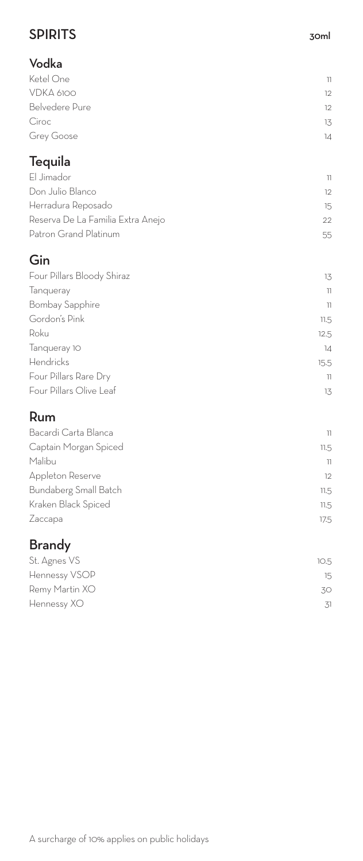## SPIRITS 30ml

| Vodka                             |                |
|-----------------------------------|----------------|
| Ketel One                         | $\overline{1}$ |
| VDKA 6100                         | 12             |
| <b>Belvedere Pure</b>             | 12             |
| Ciroc                             | 13             |
| Grey Goose                        | 14             |
| Tequila                           |                |
| El Jimador                        | $\overline{1}$ |
| Don Julio Blanco                  | 12             |
| Herradura Reposado                | 15             |
| Reserva De La Familia Extra Anejo | 22             |
| Patron Grand Platinum             | 55             |
| Gin                               |                |
| Four Pillars Bloody Shiraz        | 13             |
| Tanqueray                         | $\overline{1}$ |
| <b>Bombay Sapphire</b>            | $\overline{1}$ |
| Gordon's Pink                     | 11.5           |
| Roku                              | 12.5           |
| Tanqueray 10                      | 14             |
| Hendricks                         | 15.5           |
| Four Pillars Rare Dry             | 11             |
| Four Pillars Olive Leaf           | 13             |
| Rum                               |                |
| Bacardi Carta Blanca              | 11             |
| Captain Morgan Spiced             | 11.5           |
| Malibu                            | 11             |
| Appleton Reserve                  | 12             |
| Bundaberg Small Batch             | 11.5           |
| Kraken Black Spiced               | 11.5           |
| Zaccapa                           | 17.5           |
| <b>Brandy</b>                     |                |
| St. Agnes VS                      | 10.5           |
| Hennessy VSOP                     | 15             |
| Remy Martin XO                    | 30             |

Hennessy XO 31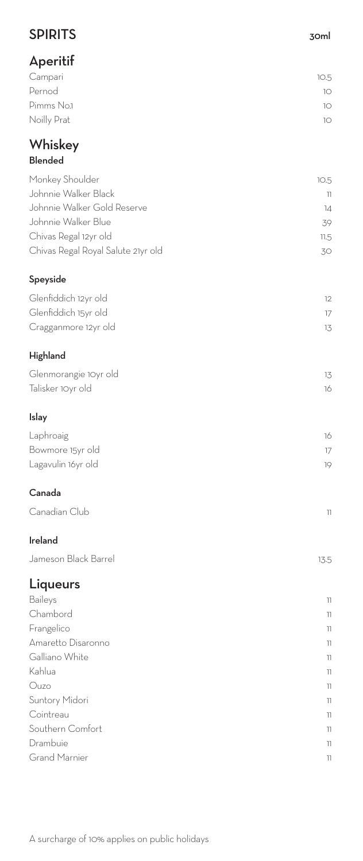| <b>SPIRITS</b>                     | 30ml           |
|------------------------------------|----------------|
| Aperitif                           |                |
| Campari                            | 10.5           |
| Pernod                             | 10             |
| Pimms No.1                         | 10             |
| Noilly Prat                        | 10             |
| Whiskey                            |                |
| <b>Blended</b>                     |                |
| Monkey Shoulder                    | 10.5           |
| Johnnie Walker Black               | $\overline{1}$ |
| Johnnie Walker Gold Reserve        | 14             |
| Johnnie Walker Blue                | 39             |
| Chivas Regal 12yr old              | 11.5           |
| Chivas Regal Royal Salute 21yr old | 30             |
| Speyside                           |                |
| Glenfiddich 12yr old               | 12             |
| Glenfiddich 15yr old               | 17             |
| Cragganmore 12yr old               | 13             |
| Highland                           |                |
| Glenmorangie 10yr old              | 13             |
| Talisker 10yr old                  | 16             |
| Islay                              |                |
| Laphroaig                          | 16             |
| Bowmore 15yr old                   | 17             |
| Lagavulin 16yr old                 | 19             |
| Canada                             |                |
| Canadian Club                      | $\overline{1}$ |
| Ireland                            |                |
| Jameson Black Barrel               | 13.5           |
| Liqueurs                           |                |
| Baileys                            | 11             |
| Chambord                           | 11             |
| Frangelico                         | 11             |
| Amaretto Disaronno                 | 11             |
| Galliano White                     | 11             |
| Kahlua                             | $\overline{1}$ |
| Ouzo                               | 11             |
| Suntory Midori                     | 11             |
| Cointreau                          | 11             |
| Southern Comfort                   | 11             |
| Drambuie                           | 11             |
| <b>Grand Marnier</b>               | 11             |

A surcharge of 10% applies on public holidays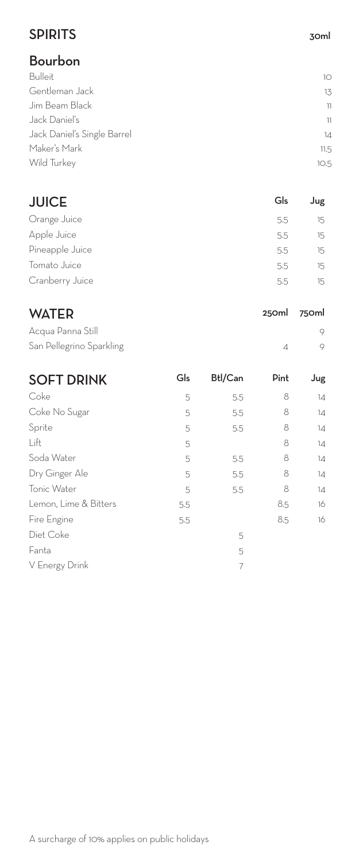## SPIRITS 30ml

# Bourbon

| Bulleit                     | 10   |
|-----------------------------|------|
| Gentleman Jack              | 13   |
| Jim Beam Black              | 11   |
| Jack Daniel's               | 11   |
| Jack Daniel's Single Barrel | 14   |
| Maker's Mark                | 11.5 |
| Wild Turkey                 | 10.5 |
|                             |      |

| <b>JUICE</b>    | Gls | Jug    |
|-----------------|-----|--------|
| Orange Juice    | 5.5 | $15 -$ |
| Apple Juice     | 5.5 | 15.    |
| Pineapple Juice | 5.5 | 15.    |
| Tomato Juice    | 5.5 | $15 -$ |
| Cranberry Juice | 5.5 | 15.    |

| <b>WATER</b>             |     |                | 250ml          | 750ml |
|--------------------------|-----|----------------|----------------|-------|
| Acqua Panna Still        |     |                |                | 9     |
| San Pellegrino Sparkling |     |                | $\overline{A}$ | 9     |
| <b>SOFT DRINK</b>        | Gls | <b>Btl/Can</b> | Pint           | Jug   |
| Coke                     | 5   | 5.5            | 8              | 14    |
| Coke No Sugar            | 5   | 5.5            | 8              | 14    |
| Sprite                   | 5   | 5.5            | 8              | 14    |
| Lift                     | 5   |                | 8              | 14    |
| Soda Water               | 5   | 5.5            | 8              | 14    |
| Dry Ginger Ale           | 5   | 5.5            | 8              | 14    |
| Tonic Water              | 5   | 5.5            | 8              | 14    |
| Lemon, Lime & Bitters    | 5.5 |                | 8.5            | 16    |
| Fire Engine              | 5.5 |                | 8.5            | 16    |
| Diet Coke                |     | 5              |                |       |
| Fanta                    |     | 5              |                |       |
| V Energy Drink           |     | 7              |                |       |